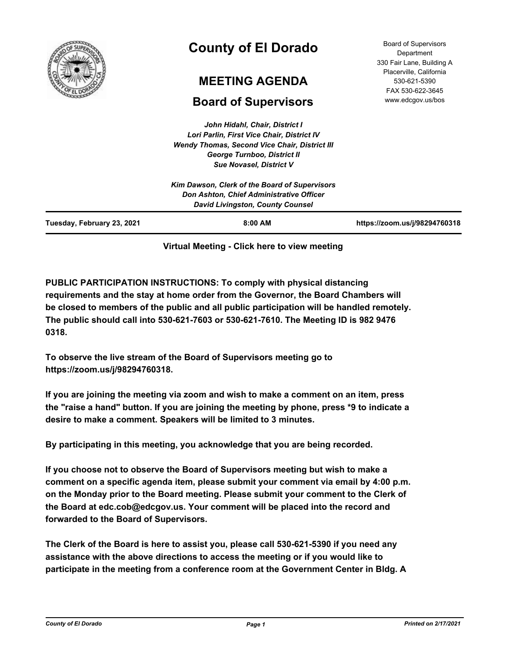

# **County of El Dorado**

## **MEETING AGENDA**

## **Board of Supervisors**

*John Hidahl, Chair, District I Lori Parlin, First Vice Chair, District IV Wendy Thomas, Second Vice Chair, District III George Turnboo, District II Sue Novasel, District V*

| Tuesday, February 23, 2021 | $8:00$ AM                                                                                                                            | https://zoom.us/j/98294760318 |
|----------------------------|--------------------------------------------------------------------------------------------------------------------------------------|-------------------------------|
|                            | Kim Dawson, Clerk of the Board of Supervisors<br>Don Ashton, Chief Administrative Officer<br><b>David Livingston, County Counsel</b> |                               |

### **Virtual Meeting - Click here to view meeting**

**PUBLIC PARTICIPATION INSTRUCTIONS: To comply with physical distancing requirements and the stay at home order from the Governor, the Board Chambers will be closed to members of the public and all public participation will be handled remotely. The public should call into 530-621-7603 or 530-621-7610. The Meeting ID is 982 9476 0318.**

**To observe the live stream of the Board of Supervisors meeting go to https://zoom.us/j/98294760318.**

**If you are joining the meeting via zoom and wish to make a comment on an item, press the "raise a hand" button. If you are joining the meeting by phone, press \*9 to indicate a desire to make a comment. Speakers will be limited to 3 minutes.**

**By participating in this meeting, you acknowledge that you are being recorded.**

**If you choose not to observe the Board of Supervisors meeting but wish to make a comment on a specific agenda item, please submit your comment via email by 4:00 p.m. on the Monday prior to the Board meeting. Please submit your comment to the Clerk of the Board at edc.cob@edcgov.us. Your comment will be placed into the record and forwarded to the Board of Supervisors.**

**The Clerk of the Board is here to assist you, please call 530-621-5390 if you need any assistance with the above directions to access the meeting or if you would like to participate in the meeting from a conference room at the Government Center in Bldg. A**

Board of Supervisors Department 330 Fair Lane, Building A Placerville, California 530-621-5390 FAX 530-622-3645 www.edcgov.us/bos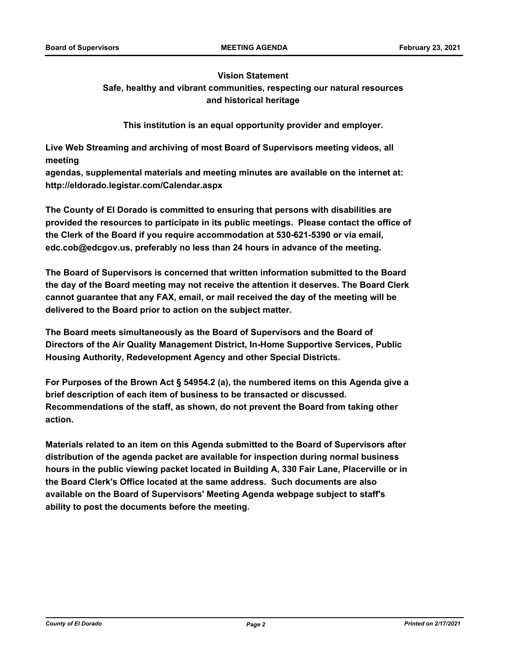#### **Vision Statement**

## **Safe, healthy and vibrant communities, respecting our natural resources and historical heritage**

**This institution is an equal opportunity provider and employer.**

**Live Web Streaming and archiving of most Board of Supervisors meeting videos, all meeting**

**agendas, supplemental materials and meeting minutes are available on the internet at: http://eldorado.legistar.com/Calendar.aspx**

**The County of El Dorado is committed to ensuring that persons with disabilities are provided the resources to participate in its public meetings. Please contact the office of the Clerk of the Board if you require accommodation at 530-621-5390 or via email, edc.cob@edcgov.us, preferably no less than 24 hours in advance of the meeting.**

**The Board of Supervisors is concerned that written information submitted to the Board the day of the Board meeting may not receive the attention it deserves. The Board Clerk cannot guarantee that any FAX, email, or mail received the day of the meeting will be delivered to the Board prior to action on the subject matter.**

**The Board meets simultaneously as the Board of Supervisors and the Board of Directors of the Air Quality Management District, In-Home Supportive Services, Public Housing Authority, Redevelopment Agency and other Special Districts.** 

**For Purposes of the Brown Act § 54954.2 (a), the numbered items on this Agenda give a brief description of each item of business to be transacted or discussed. Recommendations of the staff, as shown, do not prevent the Board from taking other action.**

**Materials related to an item on this Agenda submitted to the Board of Supervisors after distribution of the agenda packet are available for inspection during normal business hours in the public viewing packet located in Building A, 330 Fair Lane, Placerville or in the Board Clerk's Office located at the same address. Such documents are also available on the Board of Supervisors' Meeting Agenda webpage subject to staff's ability to post the documents before the meeting.**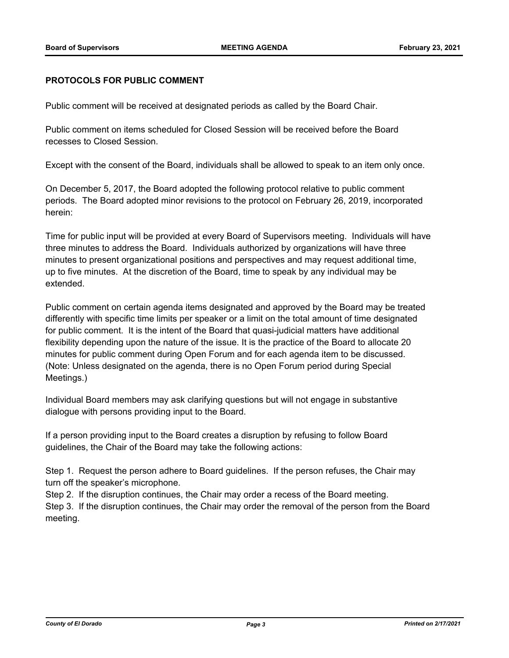#### **PROTOCOLS FOR PUBLIC COMMENT**

Public comment will be received at designated periods as called by the Board Chair.

Public comment on items scheduled for Closed Session will be received before the Board recesses to Closed Session.

Except with the consent of the Board, individuals shall be allowed to speak to an item only once.

On December 5, 2017, the Board adopted the following protocol relative to public comment periods. The Board adopted minor revisions to the protocol on February 26, 2019, incorporated herein:

Time for public input will be provided at every Board of Supervisors meeting. Individuals will have three minutes to address the Board. Individuals authorized by organizations will have three minutes to present organizational positions and perspectives and may request additional time, up to five minutes. At the discretion of the Board, time to speak by any individual may be extended.

Public comment on certain agenda items designated and approved by the Board may be treated differently with specific time limits per speaker or a limit on the total amount of time designated for public comment. It is the intent of the Board that quasi-judicial matters have additional flexibility depending upon the nature of the issue. It is the practice of the Board to allocate 20 minutes for public comment during Open Forum and for each agenda item to be discussed. (Note: Unless designated on the agenda, there is no Open Forum period during Special Meetings.)

Individual Board members may ask clarifying questions but will not engage in substantive dialogue with persons providing input to the Board.

If a person providing input to the Board creates a disruption by refusing to follow Board guidelines, the Chair of the Board may take the following actions:

Step 1. Request the person adhere to Board guidelines. If the person refuses, the Chair may turn off the speaker's microphone.

Step 2. If the disruption continues, the Chair may order a recess of the Board meeting.

Step 3. If the disruption continues, the Chair may order the removal of the person from the Board meeting.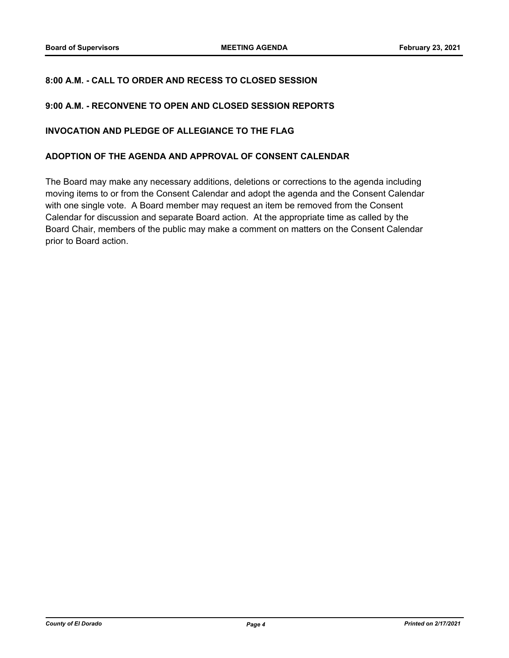### **8:00 A.M. - CALL TO ORDER AND RECESS TO CLOSED SESSION**

#### **9:00 A.M. - RECONVENE TO OPEN AND CLOSED SESSION REPORTS**

#### **INVOCATION AND PLEDGE OF ALLEGIANCE TO THE FLAG**

#### **ADOPTION OF THE AGENDA AND APPROVAL OF CONSENT CALENDAR**

The Board may make any necessary additions, deletions or corrections to the agenda including moving items to or from the Consent Calendar and adopt the agenda and the Consent Calendar with one single vote. A Board member may request an item be removed from the Consent Calendar for discussion and separate Board action. At the appropriate time as called by the Board Chair, members of the public may make a comment on matters on the Consent Calendar prior to Board action.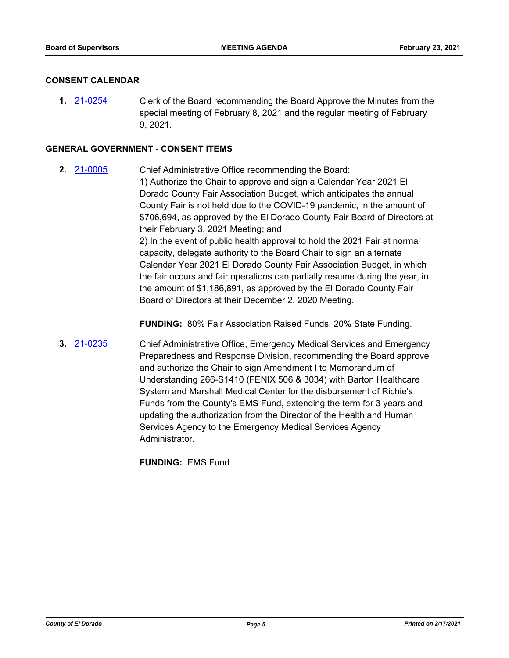#### **CONSENT CALENDAR**

**1.** [21-0254](http://eldorado.legistar.com/gateway.aspx?m=l&id=/matter.aspx?key=29150) Clerk of the Board recommending the Board Approve the Minutes from the special meeting of February 8, 2021 and the regular meeting of February 9, 2021.

#### **GENERAL GOVERNMENT - CONSENT ITEMS**

**2.** [21-0005](http://eldorado.legistar.com/gateway.aspx?m=l&id=/matter.aspx?key=28900) Chief Administrative Office recommending the Board: 1) Authorize the Chair to approve and sign a Calendar Year 2021 El Dorado County Fair Association Budget, which anticipates the annual County Fair is not held due to the COVID-19 pandemic, in the amount of \$706,694, as approved by the El Dorado County Fair Board of Directors at their February 3, 2021 Meeting; and 2) In the event of public health approval to hold the 2021 Fair at normal capacity, delegate authority to the Board Chair to sign an alternate Calendar Year 2021 El Dorado County Fair Association Budget, in which the fair occurs and fair operations can partially resume during the year, in the amount of \$1,186,891, as approved by the El Dorado County Fair Board of Directors at their December 2, 2020 Meeting.

**FUNDING:** 80% Fair Association Raised Funds, 20% State Funding.

**3.** [21-0235](http://eldorado.legistar.com/gateway.aspx?m=l&id=/matter.aspx?key=29131) Chief Administrative Office, Emergency Medical Services and Emergency Preparedness and Response Division, recommending the Board approve and authorize the Chair to sign Amendment I to Memorandum of Understanding 266-S1410 (FENIX 506 & 3034) with Barton Healthcare System and Marshall Medical Center for the disbursement of Richie's Funds from the County's EMS Fund, extending the term for 3 years and updating the authorization from the Director of the Health and Human Services Agency to the Emergency Medical Services Agency Administrator.

**FUNDING:** EMS Fund.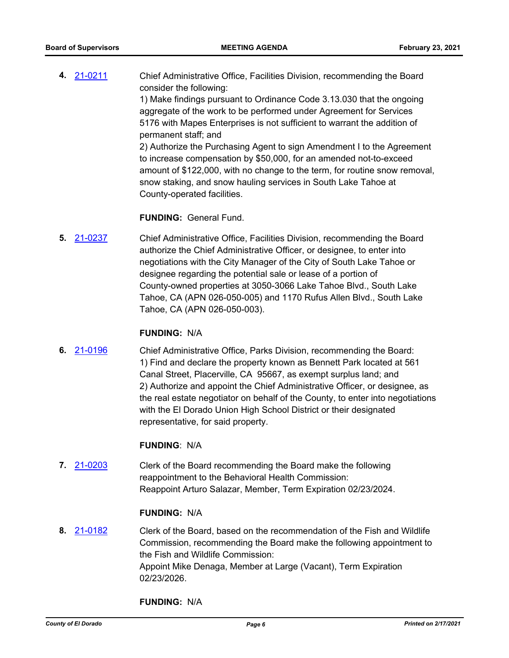**4.** [21-0211](http://eldorado.legistar.com/gateway.aspx?m=l&id=/matter.aspx?key=29107) Chief Administrative Office, Facilities Division, recommending the Board consider the following: 1) Make findings pursuant to Ordinance Code 3.13.030 that the ongoing aggregate of the work to be performed under Agreement for Services 5176 with Mapes Enterprises is not sufficient to warrant the addition of permanent staff; and 2) Authorize the Purchasing Agent to sign Amendment I to the Agreement to increase compensation by \$50,000, for an amended not-to-exceed amount of \$122,000, with no change to the term, for routine snow removal, snow staking, and snow hauling services in South Lake Tahoe at County-operated facilities.

#### **FUNDING:** General Fund.

**5.** [21-0237](http://eldorado.legistar.com/gateway.aspx?m=l&id=/matter.aspx?key=29133) Chief Administrative Office, Facilities Division, recommending the Board authorize the Chief Administrative Officer, or designee, to enter into negotiations with the City Manager of the City of South Lake Tahoe or designee regarding the potential sale or lease of a portion of County-owned properties at 3050-3066 Lake Tahoe Blvd., South Lake Tahoe, CA (APN 026-050-005) and 1170 Rufus Allen Blvd., South Lake Tahoe, CA (APN 026-050-003).

#### **FUNDING:** N/A

**6.** [21-0196](http://eldorado.legistar.com/gateway.aspx?m=l&id=/matter.aspx?key=29092) Chief Administrative Office, Parks Division, recommending the Board: 1) Find and declare the property known as Bennett Park located at 561 Canal Street, Placerville, CA 95667, as exempt surplus land; and 2) Authorize and appoint the Chief Administrative Officer, or designee, as the real estate negotiator on behalf of the County, to enter into negotiations with the El Dorado Union High School District or their designated representative, for said property.

#### **FUNDING**: N/A

**7.** [21-0203](http://eldorado.legistar.com/gateway.aspx?m=l&id=/matter.aspx?key=29099) Clerk of the Board recommending the Board make the following reappointment to the Behavioral Health Commission: Reappoint Arturo Salazar, Member, Term Expiration 02/23/2024.

#### **FUNDING:** N/A

**8.** [21-0182](http://eldorado.legistar.com/gateway.aspx?m=l&id=/matter.aspx?key=29077) Clerk of the Board, based on the recommendation of the Fish and Wildlife Commission, recommending the Board make the following appointment to the Fish and Wildlife Commission: Appoint Mike Denaga, Member at Large (Vacant), Term Expiration 02/23/2026.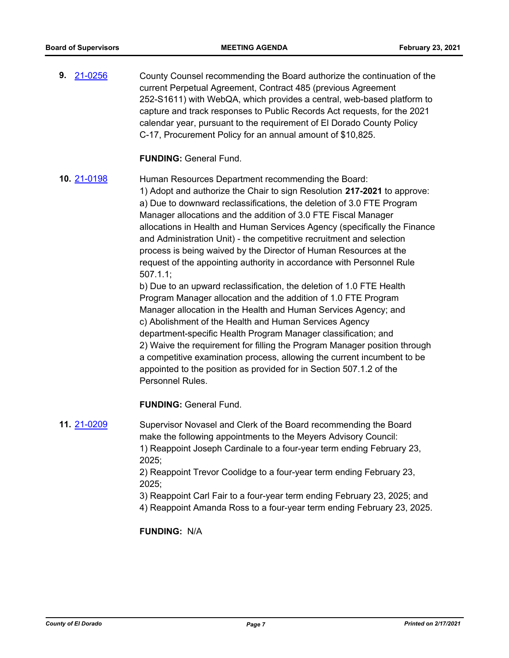**9.** [21-0256](http://eldorado.legistar.com/gateway.aspx?m=l&id=/matter.aspx?key=29152) County Counsel recommending the Board authorize the continuation of the current Perpetual Agreement, Contract 485 (previous Agreement 252-S1611) with WebQA, which provides a central, web-based platform to capture and track responses to Public Records Act requests, for the 2021 calendar year, pursuant to the requirement of El Dorado County Policy C-17, Procurement Policy for an annual amount of \$10,825.

#### **FUNDING:** General Fund.

**10.** [21-0198](http://eldorado.legistar.com/gateway.aspx?m=l&id=/matter.aspx?key=29094) Human Resources Department recommending the Board:

1) Adopt and authorize the Chair to sign Resolution **217-2021** to approve: a) Due to downward reclassifications, the deletion of 3.0 FTE Program Manager allocations and the addition of 3.0 FTE Fiscal Manager allocations in Health and Human Services Agency (specifically the Finance and Administration Unit) - the competitive recruitment and selection process is being waived by the Director of Human Resources at the request of the appointing authority in accordance with Personnel Rule 507.1.1;

b) Due to an upward reclassification, the deletion of 1.0 FTE Health Program Manager allocation and the addition of 1.0 FTE Program Manager allocation in the Health and Human Services Agency; and c) Abolishment of the Health and Human Services Agency department-specific Health Program Manager classification; and 2) Waive the requirement for filling the Program Manager position through a competitive examination process, allowing the current incumbent to be appointed to the position as provided for in Section 507.1.2 of the Personnel Rules.

**FUNDING:** General Fund.

**11.** [21-0209](http://eldorado.legistar.com/gateway.aspx?m=l&id=/matter.aspx?key=29105) Supervisor Novasel and Clerk of the Board recommending the Board make the following appointments to the Meyers Advisory Council: 1) Reappoint Joseph Cardinale to a four-year term ending February 23, 2025;

2) Reappoint Trevor Coolidge to a four-year term ending February 23, 2025;

- 3) Reappoint Carl Fair to a four-year term ending February 23, 2025; and
- 4) Reappoint Amanda Ross to a four-year term ending February 23, 2025.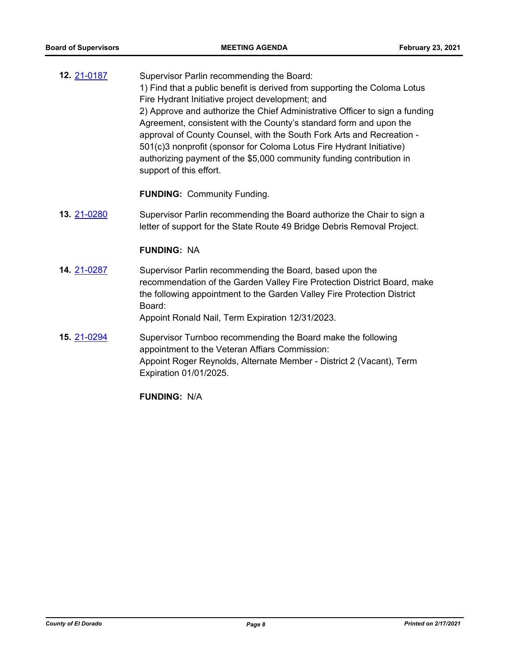**12.** [21-0187](http://eldorado.legistar.com/gateway.aspx?m=l&id=/matter.aspx?key=29083) Supervisor Parlin recommending the Board: 1) Find that a public benefit is derived from supporting the Coloma Lotus Fire Hydrant Initiative project development; and 2) Approve and authorize the Chief Administrative Officer to sign a funding Agreement, consistent with the County's standard form and upon the approval of County Counsel, with the South Fork Arts and Recreation - 501(c)3 nonprofit (sponsor for Coloma Lotus Fire Hydrant Initiative) authorizing payment of the \$5,000 community funding contribution in support of this effort.

**FUNDING:** Community Funding.

**13.** [21-0280](http://eldorado.legistar.com/gateway.aspx?m=l&id=/matter.aspx?key=29176) Supervisor Parlin recommending the Board authorize the Chair to sign a letter of support for the State Route 49 Bridge Debris Removal Project.

#### **FUNDING:** NA

**14.** [21-0287](http://eldorado.legistar.com/gateway.aspx?m=l&id=/matter.aspx?key=29183) Supervisor Parlin recommending the Board, based upon the recommendation of the Garden Valley Fire Protection District Board, make the following appointment to the Garden Valley Fire Protection District Board:

Appoint Ronald Nail, Term Expiration 12/31/2023.

**15.** [21-0294](http://eldorado.legistar.com/gateway.aspx?m=l&id=/matter.aspx?key=29190) Supervisor Turnboo recommending the Board make the following appointment to the Veteran Affiars Commission: Appoint Roger Reynolds, Alternate Member - District 2 (Vacant), Term Expiration 01/01/2025.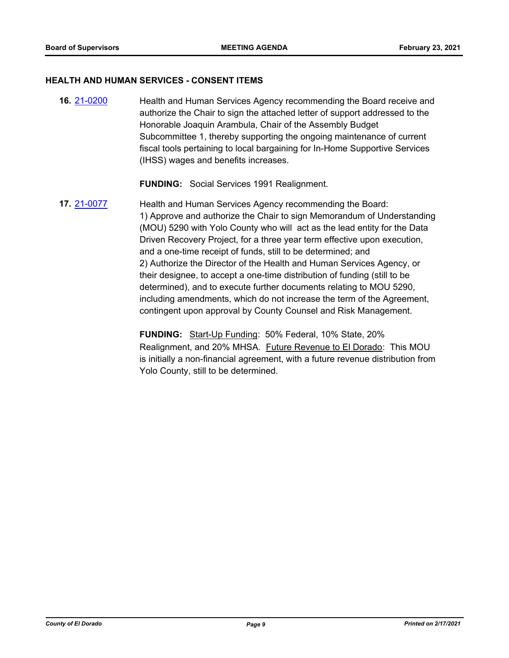#### **HEALTH AND HUMAN SERVICES - CONSENT ITEMS**

**16.** [21-0200](http://eldorado.legistar.com/gateway.aspx?m=l&id=/matter.aspx?key=29096) Health and Human Services Agency recommending the Board receive and authorize the Chair to sign the attached letter of support addressed to the Honorable Joaquin Arambula, Chair of the Assembly Budget Subcommittee 1, thereby supporting the ongoing maintenance of current fiscal tools pertaining to local bargaining for In-Home Supportive Services (IHSS) wages and benefits increases.

**FUNDING:** Social Services 1991 Realignment.

**17.** [21-0077](http://eldorado.legistar.com/gateway.aspx?m=l&id=/matter.aspx?key=28972) Health and Human Services Agency recommending the Board: 1) Approve and authorize the Chair to sign Memorandum of Understanding (MOU) 5290 with Yolo County who will act as the lead entity for the Data Driven Recovery Project, for a three year term effective upon execution, and a one-time receipt of funds, still to be determined; and 2) Authorize the Director of the Health and Human Services Agency, or their designee, to accept a one-time distribution of funding (still to be determined), and to execute further documents relating to MOU 5290, including amendments, which do not increase the term of the Agreement, contingent upon approval by County Counsel and Risk Management.

> **FUNDING:** Start-Up Funding: 50% Federal, 10% State, 20% Realignment, and 20% MHSA. Future Revenue to El Dorado: This MOU is initially a non-financial agreement, with a future revenue distribution from Yolo County, still to be determined.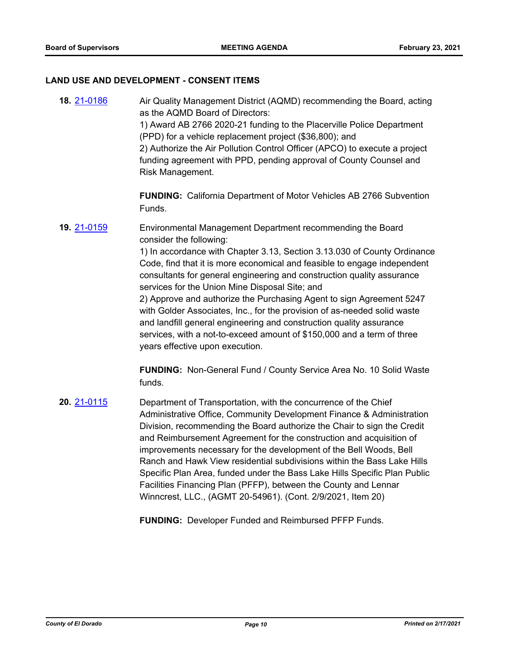#### **LAND USE AND DEVELOPMENT - CONSENT ITEMS**

**18.** [21-0186](http://eldorado.legistar.com/gateway.aspx?m=l&id=/matter.aspx?key=29082) Air Quality Management District (AQMD) recommending the Board, acting as the AQMD Board of Directors: 1) Award AB 2766 2020-21 funding to the Placerville Police Department (PPD) for a vehicle replacement project (\$36,800); and 2) Authorize the Air Pollution Control Officer (APCO) to execute a project funding agreement with PPD, pending approval of County Counsel and Risk Management. **FUNDING:** California Department of Motor Vehicles AB 2766 Subvention Funds. **19.** [21-0159](http://eldorado.legistar.com/gateway.aspx?m=l&id=/matter.aspx?key=29054) Environmental Management Department recommending the Board consider the following: 1) In accordance with Chapter 3.13, Section 3.13.030 of County Ordinance

Code, find that it is more economical and feasible to engage independent consultants for general engineering and construction quality assurance services for the Union Mine Disposal Site; and

2) Approve and authorize the Purchasing Agent to sign Agreement 5247 with Golder Associates, Inc., for the provision of as-needed solid waste and landfill general engineering and construction quality assurance services, with a not-to-exceed amount of \$150,000 and a term of three years effective upon execution.

**FUNDING:** Non-General Fund / County Service Area No. 10 Solid Waste funds.

**20.** [21-0115](http://eldorado.legistar.com/gateway.aspx?m=l&id=/matter.aspx?key=29010) Department of Transportation, with the concurrence of the Chief Administrative Office, Community Development Finance & Administration Division, recommending the Board authorize the Chair to sign the Credit and Reimbursement Agreement for the construction and acquisition of improvements necessary for the development of the Bell Woods, Bell Ranch and Hawk View residential subdivisions within the Bass Lake Hills Specific Plan Area, funded under the Bass Lake Hills Specific Plan Public Facilities Financing Plan (PFFP), between the County and Lennar Winncrest, LLC., (AGMT 20-54961). (Cont. 2/9/2021, Item 20)

**FUNDING:** Developer Funded and Reimbursed PFFP Funds.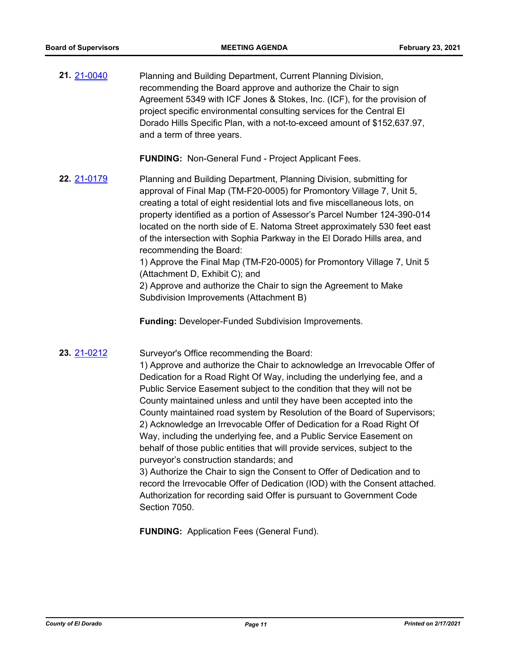**21.** [21-0040](http://eldorado.legistar.com/gateway.aspx?m=l&id=/matter.aspx?key=28935) Planning and Building Department, Current Planning Division, recommending the Board approve and authorize the Chair to sign Agreement 5349 with ICF Jones & Stokes, Inc. (ICF), for the provision of project specific environmental consulting services for the Central El Dorado Hills Specific Plan, with a not-to-exceed amount of \$152,637.97, and a term of three years.

**FUNDING:** Non-General Fund - Project Applicant Fees.

**22.** [21-0179](http://eldorado.legistar.com/gateway.aspx?m=l&id=/matter.aspx?key=29074) Planning and Building Department, Planning Division, submitting for approval of Final Map (TM-F20-0005) for Promontory Village 7, Unit 5, creating a total of eight residential lots and five miscellaneous lots, on property identified as a portion of Assessor's Parcel Number 124-390-014 located on the north side of E. Natoma Street approximately 530 feet east of the intersection with Sophia Parkway in the El Dorado Hills area, and recommending the Board:

> 1) Approve the Final Map (TM-F20-0005) for Promontory Village 7, Unit 5 (Attachment D, Exhibit C); and

2) Approve and authorize the Chair to sign the Agreement to Make Subdivision Improvements (Attachment B)

**Funding:** Developer-Funded Subdivision Improvements.

**23.** [21-0212](http://eldorado.legistar.com/gateway.aspx?m=l&id=/matter.aspx?key=29108) Surveyor's Office recommending the Board:

1) Approve and authorize the Chair to acknowledge an Irrevocable Offer of Dedication for a Road Right Of Way, including the underlying fee, and a Public Service Easement subject to the condition that they will not be County maintained unless and until they have been accepted into the County maintained road system by Resolution of the Board of Supervisors; 2) Acknowledge an Irrevocable Offer of Dedication for a Road Right Of Way, including the underlying fee, and a Public Service Easement on behalf of those public entities that will provide services, subject to the purveyor's construction standards; and

3) Authorize the Chair to sign the Consent to Offer of Dedication and to record the Irrevocable Offer of Dedication (IOD) with the Consent attached. Authorization for recording said Offer is pursuant to Government Code Section 7050.

**FUNDING:** Application Fees (General Fund).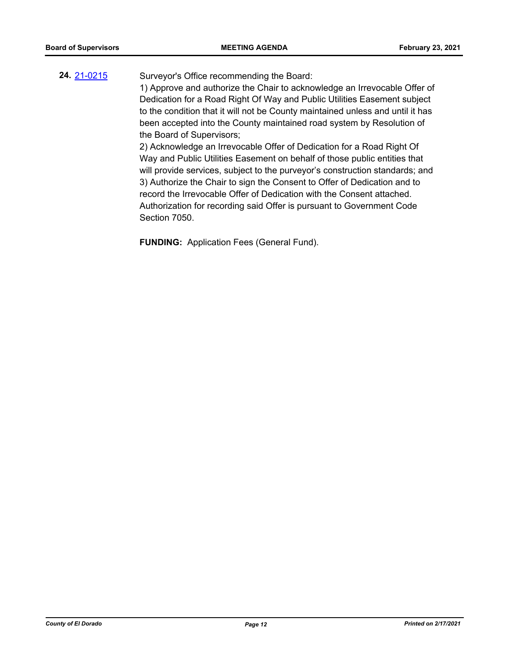## **24.** [21-0215](http://eldorado.legistar.com/gateway.aspx?m=l&id=/matter.aspx?key=29111) Surveyor's Office recommending the Board:

1) Approve and authorize the Chair to acknowledge an Irrevocable Offer of Dedication for a Road Right Of Way and Public Utilities Easement subject to the condition that it will not be County maintained unless and until it has been accepted into the County maintained road system by Resolution of the Board of Supervisors;

2) Acknowledge an Irrevocable Offer of Dedication for a Road Right Of Way and Public Utilities Easement on behalf of those public entities that will provide services, subject to the purveyor's construction standards; and 3) Authorize the Chair to sign the Consent to Offer of Dedication and to record the Irrevocable Offer of Dedication with the Consent attached. Authorization for recording said Offer is pursuant to Government Code Section 7050.

**FUNDING:** Application Fees (General Fund).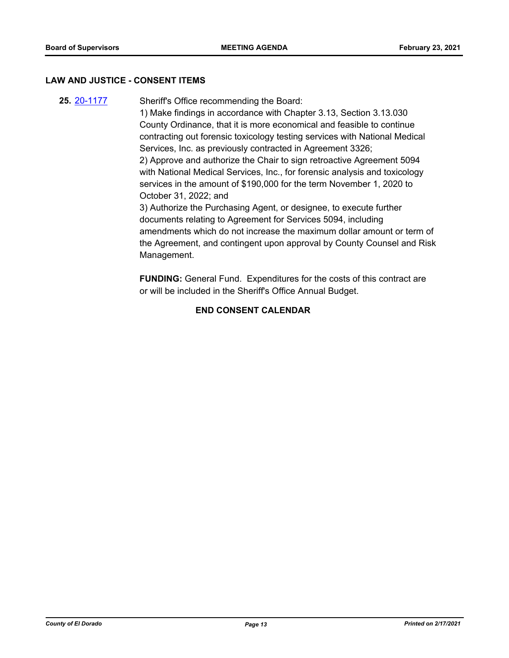#### **LAW AND JUSTICE - CONSENT ITEMS**

**25.** [20-1177](http://eldorado.legistar.com/gateway.aspx?m=l&id=/matter.aspx?key=28385) Sheriff's Office recommending the Board: 1) Make findings in accordance with Chapter 3.13, Section 3.13.030 County Ordinance, that it is more economical and feasible to continue contracting out forensic toxicology testing services with National Medical Services, Inc. as previously contracted in Agreement 3326; 2) Approve and authorize the Chair to sign retroactive Agreement 5094 with National Medical Services, Inc., for forensic analysis and toxicology services in the amount of \$190,000 for the term November 1, 2020 to October 31, 2022; and 3) Authorize the Purchasing Agent, or designee, to execute further documents relating to Agreement for Services 5094, including amendments which do not increase the maximum dollar amount or term of the Agreement, and contingent upon approval by County Counsel and Risk Management.

> **FUNDING:** General Fund. Expenditures for the costs of this contract are or will be included in the Sheriff's Office Annual Budget.

## **END CONSENT CALENDAR**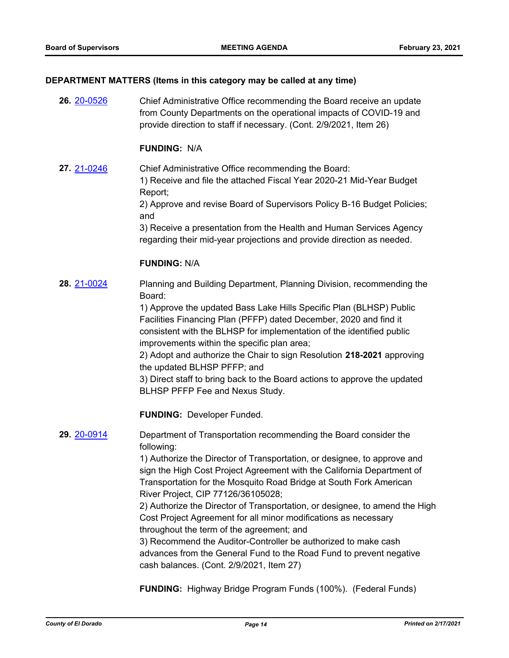#### **DEPARTMENT MATTERS (Items in this category may be called at any time)**

**26.** [20-0526](http://eldorado.legistar.com/gateway.aspx?m=l&id=/matter.aspx?key=27732) Chief Administrative Office recommending the Board receive an update from County Departments on the operational impacts of COVID-19 and provide direction to staff if necessary. (Cont. 2/9/2021, Item 26)

#### **FUNDING:** N/A

**27.** [21-0246](http://eldorado.legistar.com/gateway.aspx?m=l&id=/matter.aspx?key=29142) Chief Administrative Office recommending the Board: 1) Receive and file the attached Fiscal Year 2020-21 Mid-Year Budget Report;

2) Approve and revise Board of Supervisors Policy B-16 Budget Policies; and

3) Receive a presentation from the Health and Human Services Agency regarding their mid-year projections and provide direction as needed.

#### **FUNDING:** N/A

**28.** [21-0024](http://eldorado.legistar.com/gateway.aspx?m=l&id=/matter.aspx?key=28919) Planning and Building Department, Planning Division, recommending the Board:

> 1) Approve the updated Bass Lake Hills Specific Plan (BLHSP) Public Facilities Financing Plan (PFFP) dated December, 2020 and find it consistent with the BLHSP for implementation of the identified public improvements within the specific plan area;

2) Adopt and authorize the Chair to sign Resolution **218-2021** approving the updated BLHSP PFFP; and

3) Direct staff to bring back to the Board actions to approve the updated BLHSP PFFP Fee and Nexus Study.

**FUNDING:** Developer Funded.

**29.** [20-0914](http://eldorado.legistar.com/gateway.aspx?m=l&id=/matter.aspx?key=28121) Department of Transportation recommending the Board consider the following:

> 1) Authorize the Director of Transportation, or designee, to approve and sign the High Cost Project Agreement with the California Department of Transportation for the Mosquito Road Bridge at South Fork American River Project, CIP 77126/36105028;

2) Authorize the Director of Transportation, or designee, to amend the High Cost Project Agreement for all minor modifications as necessary throughout the term of the agreement; and

3) Recommend the Auditor-Controller be authorized to make cash advances from the General Fund to the Road Fund to prevent negative cash balances. (Cont. 2/9/2021, Item 27)

**FUNDING:** Highway Bridge Program Funds (100%). (Federal Funds)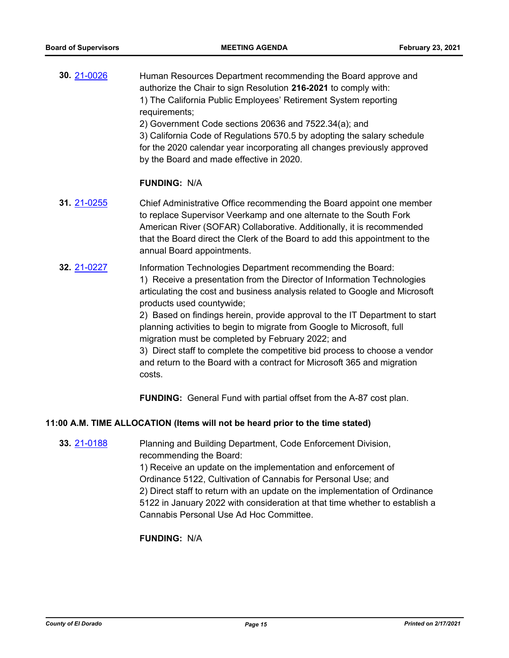| 30. 21-0026 | Human Resources Department recommending the Board approve and<br>authorize the Chair to sign Resolution 216-2021 to comply with:<br>1) The California Public Employees' Retirement System reporting<br>requirements;<br>2) Government Code sections 20636 and 7522.34(a); and<br>3) California Code of Regulations 570.5 by adopting the salary schedule<br>for the 2020 calendar year incorporating all changes previously approved<br>by the Board and made effective in 2020.                                                                                                                                                                                                                                 |
|-------------|------------------------------------------------------------------------------------------------------------------------------------------------------------------------------------------------------------------------------------------------------------------------------------------------------------------------------------------------------------------------------------------------------------------------------------------------------------------------------------------------------------------------------------------------------------------------------------------------------------------------------------------------------------------------------------------------------------------|
|             | <b>FUNDING: N/A</b>                                                                                                                                                                                                                                                                                                                                                                                                                                                                                                                                                                                                                                                                                              |
| 31. 21-0255 | Chief Administrative Office recommending the Board appoint one member<br>to replace Supervisor Veerkamp and one alternate to the South Fork<br>American River (SOFAR) Collaborative. Additionally, it is recommended<br>that the Board direct the Clerk of the Board to add this appointment to the<br>annual Board appointments.                                                                                                                                                                                                                                                                                                                                                                                |
| 32. 21-0227 | Information Technologies Department recommending the Board:<br>1) Receive a presentation from the Director of Information Technologies<br>articulating the cost and business analysis related to Google and Microsoft<br>products used countywide;<br>2) Based on findings herein, provide approval to the IT Department to start<br>planning activities to begin to migrate from Google to Microsoft, full<br>migration must be completed by February 2022; and<br>3) Direct staff to complete the competitive bid process to choose a vendor<br>and return to the Board with a contract for Microsoft 365 and migration<br>costs.<br><b>FUNDING:</b> General Fund with partial offset from the A-87 cost plan. |

#### **11:00 A.M. TIME ALLOCATION (Items will not be heard prior to the time stated)**

**33.** [21-0188](http://eldorado.legistar.com/gateway.aspx?m=l&id=/matter.aspx?key=29084) Planning and Building Department, Code Enforcement Division, recommending the Board:

> 1) Receive an update on the implementation and enforcement of Ordinance 5122, Cultivation of Cannabis for Personal Use; and 2) Direct staff to return with an update on the implementation of Ordinance 5122 in January 2022 with consideration at that time whether to establish a Cannabis Personal Use Ad Hoc Committee.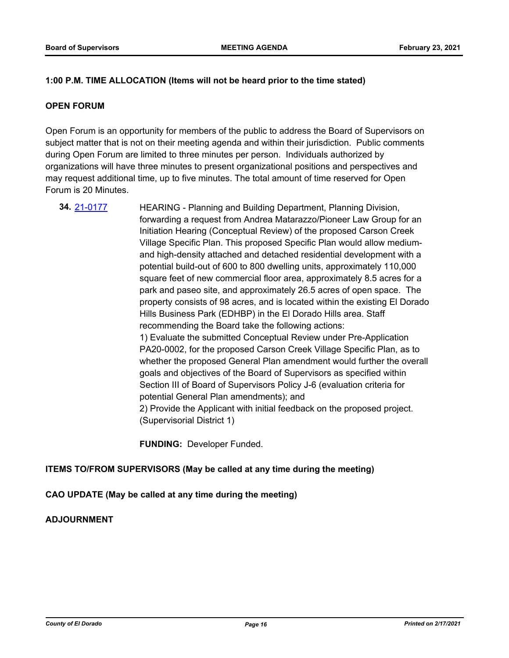#### **1:00 P.M. TIME ALLOCATION (Items will not be heard prior to the time stated)**

#### **OPEN FORUM**

Open Forum is an opportunity for members of the public to address the Board of Supervisors on subject matter that is not on their meeting agenda and within their jurisdiction. Public comments during Open Forum are limited to three minutes per person. Individuals authorized by organizations will have three minutes to present organizational positions and perspectives and may request additional time, up to five minutes. The total amount of time reserved for Open Forum is 20 Minutes.

**34.** [21-0177](http://eldorado.legistar.com/gateway.aspx?m=l&id=/matter.aspx?key=29072) HEARING - Planning and Building Department, Planning Division, forwarding a request from Andrea Matarazzo/Pioneer Law Group for an Initiation Hearing (Conceptual Review) of the proposed Carson Creek Village Specific Plan. This proposed Specific Plan would allow mediumand high-density attached and detached residential development with a potential build-out of 600 to 800 dwelling units, approximately 110,000 square feet of new commercial floor area, approximately 8.5 acres for a park and paseo site, and approximately 26.5 acres of open space. The property consists of 98 acres, and is located within the existing El Dorado Hills Business Park (EDHBP) in the El Dorado Hills area. Staff recommending the Board take the following actions: 1) Evaluate the submitted Conceptual Review under Pre-Application PA20-0002, for the proposed Carson Creek Village Specific Plan, as to whether the proposed General Plan amendment would further the overall goals and objectives of the Board of Supervisors as specified within Section III of Board of Supervisors Policy J-6 (evaluation criteria for potential General Plan amendments); and 2) Provide the Applicant with initial feedback on the proposed project. (Supervisorial District 1)

**FUNDING:** Developer Funded.

#### **ITEMS TO/FROM SUPERVISORS (May be called at any time during the meeting)**

#### **CAO UPDATE (May be called at any time during the meeting)**

#### **ADJOURNMENT**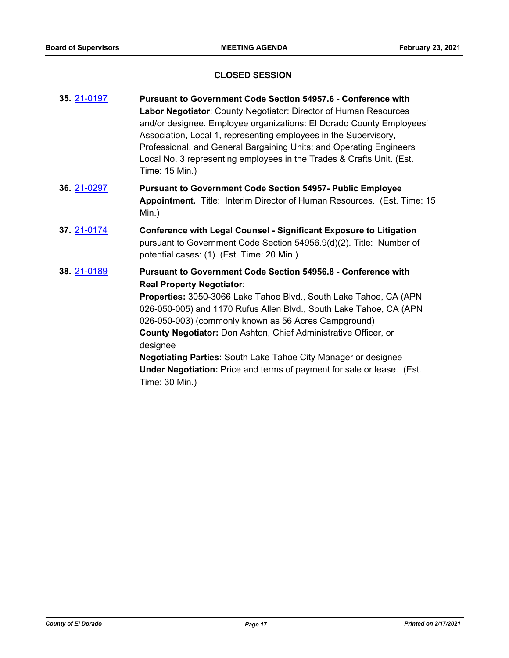## **CLOSED SESSION**

| 35. 21-0197 | <b>Pursuant to Government Code Section 54957.6 - Conference with</b><br>Labor Negotiator: County Negotiator: Director of Human Resources<br>and/or designee. Employee organizations: El Dorado County Employees'<br>Association, Local 1, representing employees in the Supervisory,<br>Professional, and General Bargaining Units; and Operating Engineers<br>Local No. 3 representing employees in the Trades & Crafts Unit. (Est.<br>Time: 15 Min.)                                                                                                          |
|-------------|-----------------------------------------------------------------------------------------------------------------------------------------------------------------------------------------------------------------------------------------------------------------------------------------------------------------------------------------------------------------------------------------------------------------------------------------------------------------------------------------------------------------------------------------------------------------|
| 36. 21-0297 | <b>Pursuant to Government Code Section 54957- Public Employee</b><br>Appointment. Title: Interim Director of Human Resources. (Est. Time: 15<br>Min.)                                                                                                                                                                                                                                                                                                                                                                                                           |
| 37. 21-0174 | <b>Conference with Legal Counsel - Significant Exposure to Litigation</b><br>pursuant to Government Code Section 54956.9(d)(2). Title: Number of<br>potential cases: (1). (Est. Time: 20 Min.)                                                                                                                                                                                                                                                                                                                                                                  |
| 38. 21-0189 | <b>Pursuant to Government Code Section 54956.8 - Conference with</b><br><b>Real Property Negotiator:</b><br>Properties: 3050-3066 Lake Tahoe Blvd., South Lake Tahoe, CA (APN<br>026-050-005) and 1170 Rufus Allen Blvd., South Lake Tahoe, CA (APN<br>026-050-003) (commonly known as 56 Acres Campground)<br>County Negotiator: Don Ashton, Chief Administrative Officer, or<br>designee<br><b>Negotiating Parties:</b> South Lake Tahoe City Manager or designee<br>Under Negotiation: Price and terms of payment for sale or lease. (Est.<br>Time: 30 Min.) |